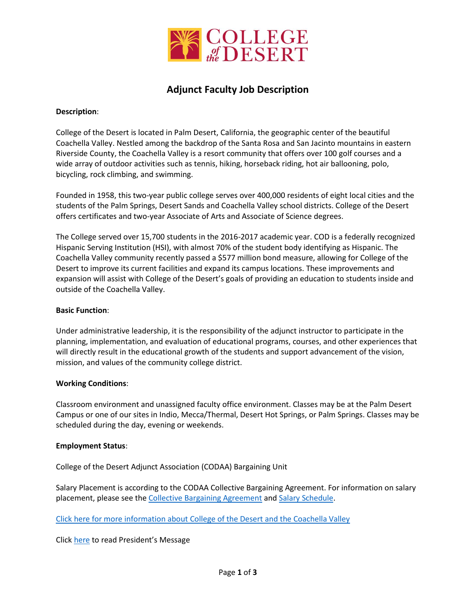

# **Adjunct Faculty Job Description**

## **Description**:

College of the Desert is located in Palm Desert, California, the geographic center of the beautiful Coachella Valley. Nestled among the backdrop of the Santa Rosa and San Jacinto mountains in eastern Riverside County, the Coachella Valley is a resort community that offers over 100 golf courses and a wide array of outdoor activities such as tennis, hiking, horseback riding, hot air ballooning, polo, bicycling, rock climbing, and swimming.

Founded in 1958, this two-year public college serves over 400,000 residents of eight local cities and the students of the Palm Springs, Desert Sands and Coachella Valley school districts. College of the Desert offers certificates and two-year Associate of Arts and Associate of Science degrees.

The College served over 15,700 students in the 2016-2017 academic year. COD is a federally recognized Hispanic Serving Institution (HSI), with almost 70% of the student body identifying as Hispanic. The Coachella Valley community recently passed a \$577 million bond measure, allowing for College of the Desert to improve its current facilities and expand its campus locations. These improvements and expansion will assist with College of the Desert's goals of providing an education to students inside and outside of the Coachella Valley.

### **Basic Function**:

Under administrative leadership, it is the responsibility of the adjunct instructor to participate in the planning, implementation, and evaluation of educational programs, courses, and other experiences that will directly result in the educational growth of the students and support advancement of the vision, mission, and values of the community college district.

## **Working Conditions**:

Classroom environment and unassigned faculty office environment. Classes may be at the Palm Desert Campus or one of our sites in Indio, Mecca/Thermal, Desert Hot Springs, or Palm Springs. Classes may be scheduled during the day, evening or weekends.

#### **Employment Status**:

College of the Desert Adjunct Association (CODAA) Bargaining Unit

Salary Placement is according to the CODAA Collective Bargaining Agreement. For information on salary placement, please see the [Collective Bargaining Agreement](http://collegeofthedesert.edu/fs/hr/Bargaining%20Unit%20Contracts/CODAA%20CBA%202014-2017.pdf) an[d Salary Schedule.](http://collegeofthedesert.edu/fs/hr/Salary%20Schedules%20and%20Position/Adjunct%20Salary%20Schedule%202017-2018.pdf)

[Click here for more information about College of the Desert and the Coachella Valley](http://collegeofthedesert.edu/aboutus/Pages/default.aspx)

Click [here](http://collegeofthedesert.edu/community/pres/Pages/default.aspx) to read President's Message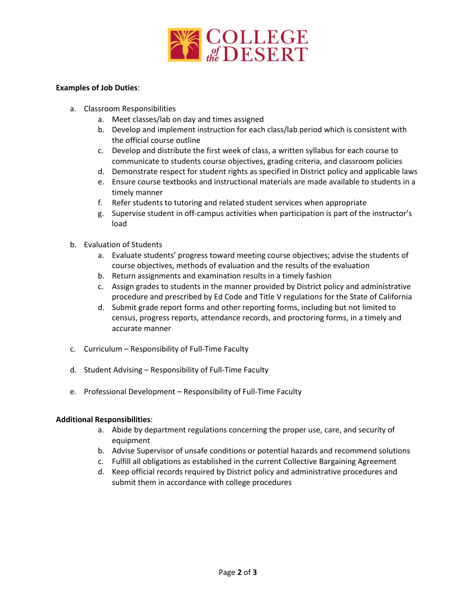

## **Examples of Job Duties**:

- a. Classroom Responsibilities
	- a. Meet classes/lab on day and times assigned
	- b. Develop and implement instruction for each class/lab period which is consistent with the official course outline
	- c. Develop and distribute the first week of class, a written syllabus for each course to communicate to students course objectives, grading criteria, and classroom policies
	- d. Demonstrate respect for student rights as specified in District policy and applicable laws
	- e. Ensure course textbooks and instructional materials are made available to students in a timely manner
	- f. Refer students to tutoring and related student services when appropriate
	- g. Supervise student in off-campus activities when participation is part of the instructor's load
- b. Evaluation of Students
	- a. Evaluate students' progress toward meeting course objectives; advise the students of course objectives, methods of evaluation and the results of the evaluation
	- b. Return assignments and examination results in a timely fashion
	- c. Assign grades to students in the manner provided by District policy and administrative procedure and prescribed by Ed Code and Title V regulations for the State of California
	- d. Submit grade report forms and other reporting forms, including but not limited to census, progress reports, attendance records, and proctoring forms, in a timely and accurate manner
- c. Curriculum Responsibility of Full-Time Faculty
- d. Student Advising Responsibility of Full-Time Faculty
- e. Professional Development Responsibility of Full-Time Faculty

## **Additional Responsibilities**:

- a. Abide by department regulations concerning the proper use, care, and security of equipment
- b. Advise Supervisor of unsafe conditions or potential hazards and recommend solutions
- c. Fulfill all obligations as established in the current Collective Bargaining Agreement
- d. Keep official records required by District policy and administrative procedures and submit them in accordance with college procedures